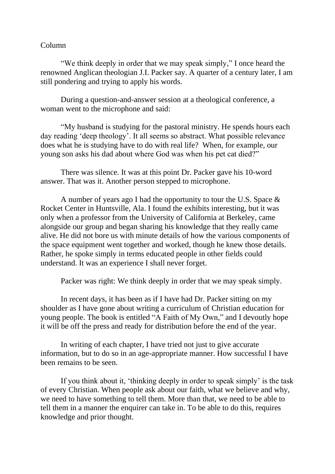## Column

"We think deeply in order that we may speak simply," I once heard the renowned Anglican theologian J.I. Packer say. A quarter of a century later, I am still pondering and trying to apply his words.

During a question-and-answer session at a theological conference, a woman went to the microphone and said:

"My husband is studying for the pastoral ministry. He spends hours each day reading 'deep theology'. It all seems so abstract. What possible relevance does what he is studying have to do with real life? When, for example, our young son asks his dad about where God was when his pet cat died?"

There was silence. It was at this point Dr. Packer gave his 10-word answer. That was it. Another person stepped to microphone.

A number of years ago I had the opportunity to tour the U.S. Space & Rocket Center in Huntsville, Ala. I found the exhibits interesting, but it was only when a professor from the University of California at Berkeley, came alongside our group and began sharing his knowledge that they really came alive. He did not bore us with minute details of how the various components of the space equipment went together and worked, though he knew those details. Rather, he spoke simply in terms educated people in other fields could understand. It was an experience I shall never forget.

Packer was right: We think deeply in order that we may speak simply.

In recent days, it has been as if I have had Dr. Packer sitting on my shoulder as I have gone about writing a curriculum of Christian education for young people. The book is entitled "A Faith of My Own," and I devoutly hope it will be off the press and ready for distribution before the end of the year.

In writing of each chapter, I have tried not just to give accurate information, but to do so in an age-appropriate manner. How successful I have been remains to be seen.

If you think about it, 'thinking deeply in order to speak simply' is the task of every Christian. When people ask about our faith, what we believe and why, we need to have something to tell them. More than that, we need to be able to tell them in a manner the enquirer can take in. To be able to do this, requires knowledge and prior thought.